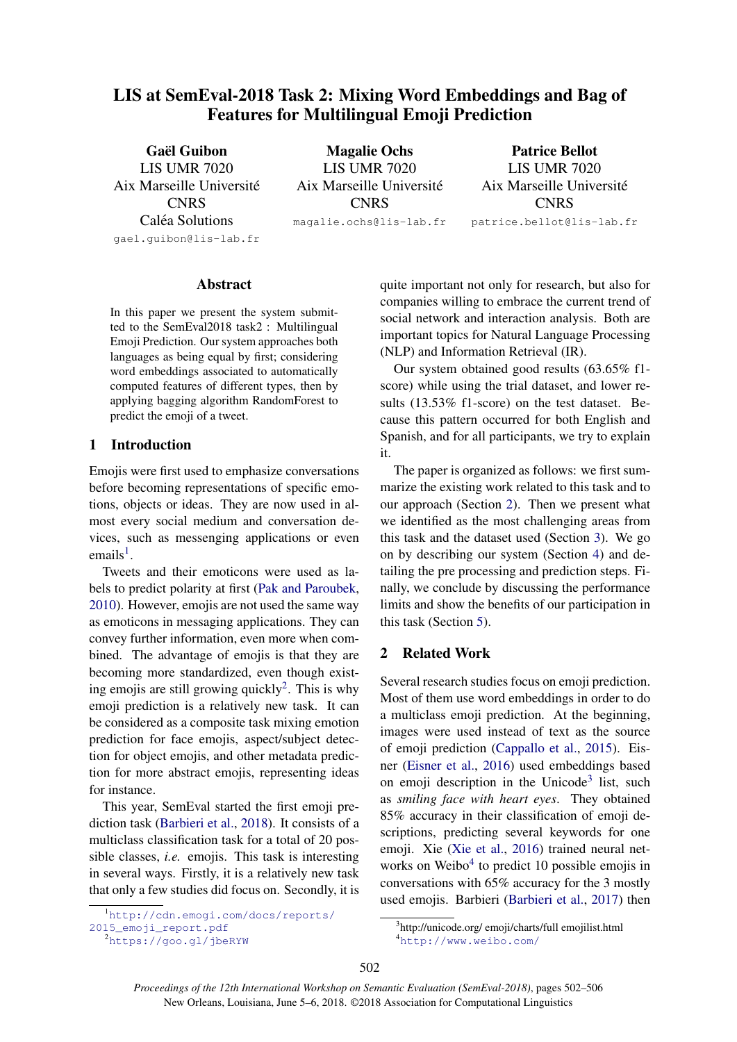# LIS at SemEval-2018 Task 2: Mixing Word Embeddings and Bag of Features for Multilingual Emoji Prediction

Gaël Guibon LIS UMR 7020 Aix Marseille Universite´ **CNRS** Caléa Solutions gael.guibon@lis-lab.fr

Magalie Ochs LIS UMR 7020 Aix Marseille Universite´ **CNRS** 

magalie.ochs@lis-lab.fr

Patrice Bellot LIS UMR 7020 Aix Marseille Universite´ **CNRS** patrice.bellot@lis-lab.fr

#### Abstract

In this paper we present the system submitted to the SemEval2018 task2 : Multilingual Emoji Prediction. Our system approaches both languages as being equal by first; considering word embeddings associated to automatically computed features of different types, then by applying bagging algorithm RandomForest to predict the emoji of a tweet.

# 1 Introduction

Emojis were first used to emphasize conversations before becoming representations of specific emotions, objects or ideas. They are now used in almost every social medium and conversation devices, such as messenging applications or even emails<sup>1</sup>.

Tweets and their emoticons were used as labels to predict polarity at first (Pak and Paroubek, 2010). However, emojis are not used the same way as emoticons in messaging applications. They can convey further information, even more when combined. The advantage of emojis is that they are becoming more standardized, even though existing emojis are still growing quickly<sup>2</sup>. This is why emoji prediction is a relatively new task. It can be considered as a composite task mixing emotion prediction for face emojis, aspect/subject detection for object emojis, and other metadata prediction for more abstract emojis, representing ideas for instance.

This year, SemEval started the first emoji prediction task (Barbieri et al., 2018). It consists of a multiclass classification task for a total of 20 possible classes, *i.e.* emojis. This task is interesting in several ways. Firstly, it is a relatively new task that only a few studies did focus on. Secondly, it is

quite important not only for research, but also for companies willing to embrace the current trend of social network and interaction analysis. Both are important topics for Natural Language Processing (NLP) and Information Retrieval (IR).

Our system obtained good results (63.65% f1 score) while using the trial dataset, and lower results (13.53% f1-score) on the test dataset. Because this pattern occurred for both English and Spanish, and for all participants, we try to explain it.

The paper is organized as follows: we first summarize the existing work related to this task and to our approach (Section 2). Then we present what we identified as the most challenging areas from this task and the dataset used (Section 3). We go on by describing our system (Section 4) and detailing the pre processing and prediction steps. Finally, we conclude by discussing the performance limits and show the benefits of our participation in this task (Section 5).

## 2 Related Work

Several research studies focus on emoji prediction. Most of them use word embeddings in order to do a multiclass emoji prediction. At the beginning, images were used instead of text as the source of emoji prediction (Cappallo et al., 2015). Eisner (Eisner et al., 2016) used embeddings based on emoji description in the Unicode<sup>3</sup> list, such as *smiling face with heart eyes*. They obtained 85% accuracy in their classification of emoji descriptions, predicting several keywords for one emoji. Xie (Xie et al., 2016) trained neural networks on Weibo<sup>4</sup> to predict 10 possible emojis in conversations with 65% accuracy for the 3 mostly used emojis. Barbieri (Barbieri et al., 2017) then

<sup>1</sup>http://cdn.emogi.com/docs/reports/

<sup>2015</sup>\_emoji\_report.pdf

<sup>2</sup>https://goo.gl/jbeRYW

<sup>3</sup> http://unicode.org/ emoji/charts/full emojilist.html <sup>4</sup>http://www.weibo.com/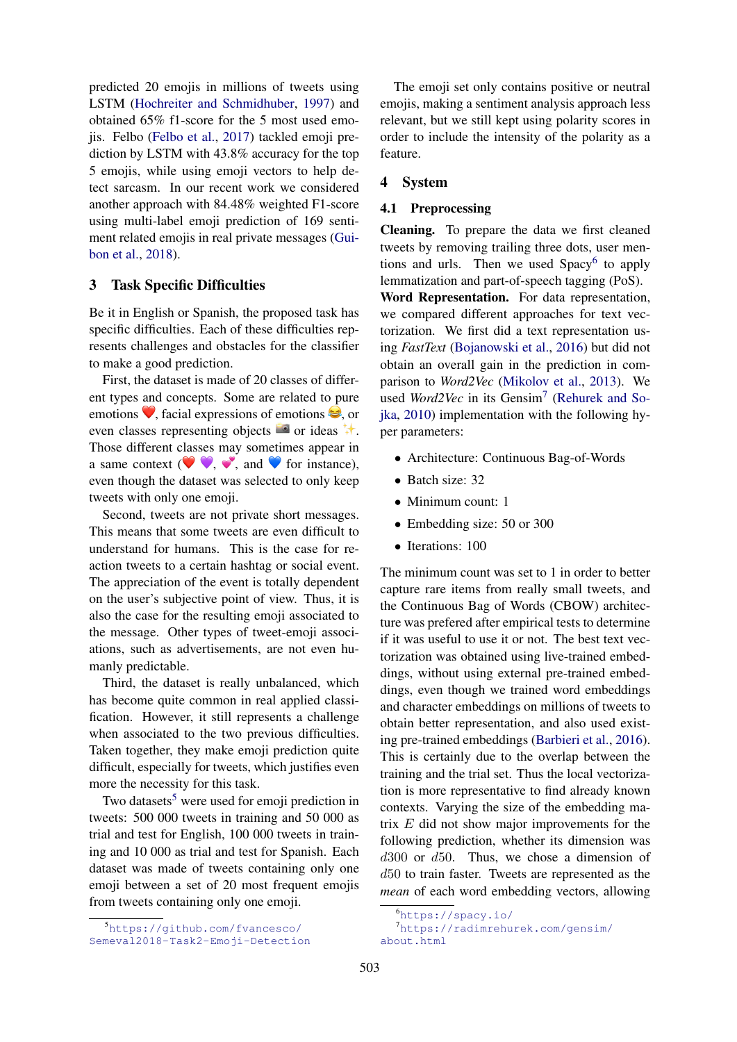predicted 20 emojis in millions of tweets using LSTM (Hochreiter and Schmidhuber, 1997) and obtained 65% f1-score for the 5 most used emojis. Felbo (Felbo et al., 2017) tackled emoji prediction by LSTM with 43.8% accuracy for the top 5 emojis, while using emoji vectors to help detect sarcasm. In our recent work we considered another approach with 84.48% weighted F1-score using multi-label emoji prediction of 169 sentiment related emojis in real private messages (Guibon et al., 2018).

## 3 Task Specific Difficulties

Be it in English or Spanish, the proposed task has specific difficulties. Each of these difficulties represents challenges and obstacles for the classifier to make a good prediction.

First, the dataset is made of 20 classes of different types and concepts. Some are related to pure emotions  $\blacktriangledown$ , facial expressions of emotions  $\blacktriangledown$ , or even classes representing objects  $\bullet$  or ideas  $\uparrow\uparrow$ . Those different classes may sometimes appear in a same context ( $\bullet \bullet$ ,  $\bullet$ , and  $\bullet$  for instance), even though the dataset was selected to only keep tweets with only one emoji.

Second, tweets are not private short messages. This means that some tweets are even difficult to understand for humans. This is the case for reaction tweets to a certain hashtag or social event. The appreciation of the event is totally dependent on the user's subjective point of view. Thus, it is also the case for the resulting emoji associated to the message. Other types of tweet-emoji associations, such as advertisements, are not even humanly predictable.

Third, the dataset is really unbalanced, which has become quite common in real applied classification. However, it still represents a challenge when associated to the two previous difficulties. Taken together, they make emoji prediction quite difficult, especially for tweets, which justifies even more the necessity for this task.

Two datasets<sup>5</sup> were used for emoji prediction in tweets: 500 000 tweets in training and 50 000 as trial and test for English, 100 000 tweets in training and 10 000 as trial and test for Spanish. Each dataset was made of tweets containing only one emoji between a set of 20 most frequent emojis from tweets containing only one emoji.

The emoji set only contains positive or neutral emojis, making a sentiment analysis approach less relevant, but we still kept using polarity scores in order to include the intensity of the polarity as a feature.

#### 4 System

#### 4.1 Preprocessing

Cleaning. To prepare the data we first cleaned tweets by removing trailing three dots, user mentions and urls. Then we used Spacy<sup>6</sup> to apply lemmatization and part-of-speech tagging (PoS).

Word Representation. For data representation, we compared different approaches for text vectorization. We first did a text representation using *FastText* (Bojanowski et al., 2016) but did not obtain an overall gain in the prediction in comparison to *Word2Vec* (Mikolov et al., 2013). We used Word2Vec in its Gensim<sup>7</sup> (Rehurek and Sojka, 2010) implementation with the following hyper parameters:

- Architecture: Continuous Bag-of-Words
- Batch size: 32
- Minimum count: 1
- Embedding size: 50 or 300
- Iterations: 100

The minimum count was set to 1 in order to better capture rare items from really small tweets, and the Continuous Bag of Words (CBOW) architecture was prefered after empirical tests to determine if it was useful to use it or not. The best text vectorization was obtained using live-trained embeddings, without using external pre-trained embeddings, even though we trained word embeddings and character embeddings on millions of tweets to obtain better representation, and also used existing pre-trained embeddings (Barbieri et al., 2016). This is certainly due to the overlap between the training and the trial set. Thus the local vectorization is more representative to find already known contexts. Varying the size of the embedding matrix E did not show major improvements for the following prediction, whether its dimension was  $d300$  or  $d50$ . Thus, we chose a dimension of d50 to train faster. Tweets are represented as the *mean* of each word embedding vectors, allowing

<sup>5</sup>https://github.com/fvancesco/ Semeval2018-Task2-Emoji-Detection

<sup>6</sup>https://spacy.io/

<sup>7</sup>https://radimrehurek.com/gensim/ about.html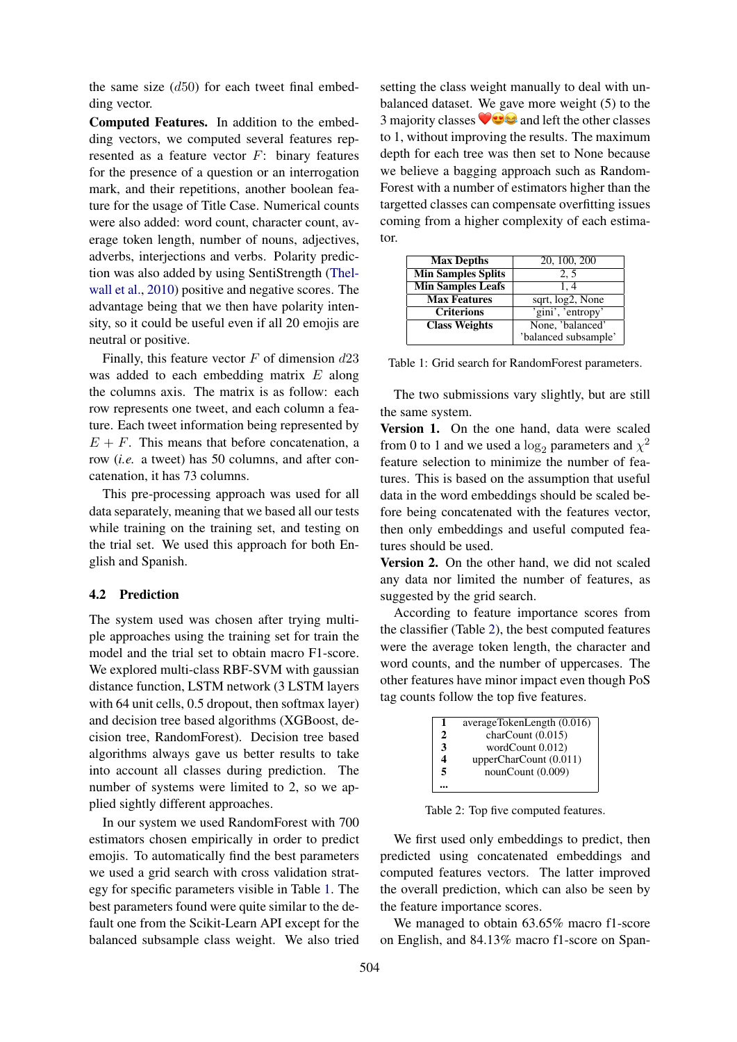the same size  $(d50)$  for each tweet final embedding vector.

Computed Features. In addition to the embedding vectors, we computed several features represented as a feature vector F: binary features for the presence of a question or an interrogation mark, and their repetitions, another boolean feature for the usage of Title Case. Numerical counts were also added: word count, character count, average token length, number of nouns, adjectives, adverbs, interjections and verbs. Polarity prediction was also added by using SentiStrength (Thelwall et al., 2010) positive and negative scores. The advantage being that we then have polarity intensity, so it could be useful even if all 20 emojis are neutral or positive.

Finally, this feature vector  $F$  of dimension  $d23$ was added to each embedding matrix E along the columns axis. The matrix is as follow: each row represents one tweet, and each column a feature. Each tweet information being represented by  $E + F$ . This means that before concatenation, a row (*i.e.* a tweet) has 50 columns, and after concatenation, it has 73 columns.

This pre-processing approach was used for all data separately, meaning that we based all our tests while training on the training set, and testing on the trial set. We used this approach for both English and Spanish.

## 4.2 Prediction

The system used was chosen after trying multiple approaches using the training set for train the model and the trial set to obtain macro F1-score. We explored multi-class RBF-SVM with gaussian distance function, LSTM network (3 LSTM layers with 64 unit cells, 0.5 dropout, then softmax layer) and decision tree based algorithms (XGBoost, decision tree, RandomForest). Decision tree based algorithms always gave us better results to take into account all classes during prediction. The number of systems were limited to 2, so we applied sightly different approaches.

In our system we used RandomForest with 700 estimators chosen empirically in order to predict emojis. To automatically find the best parameters we used a grid search with cross validation strategy for specific parameters visible in Table 1. The best parameters found were quite similar to the default one from the Scikit-Learn API except for the balanced subsample class weight. We also tried

setting the class weight manually to deal with unbalanced dataset. We gave more weight (5) to the 3 majority classes  $\vee$  and left the other classes to 1, without improving the results. The maximum depth for each tree was then set to None because we believe a bagging approach such as Random-Forest with a number of estimators higher than the targetted classes can compensate overfitting issues coming from a higher complexity of each estimator.

| <b>Max Depths</b>         | 20, 100, 200         |  |
|---------------------------|----------------------|--|
| <b>Min Samples Splits</b> | 2, 5                 |  |
| <b>Min Samples Leafs</b>  | 1.4                  |  |
| <b>Max Features</b>       | sqrt, log2, None     |  |
| <b>Criterions</b>         | 'gini', 'entropy'    |  |
| <b>Class Weights</b>      | None, 'balanced'     |  |
|                           | 'balanced subsample' |  |

Table 1: Grid search for RandomForest parameters.

The two submissions vary slightly, but are still the same system.

Version 1. On the one hand, data were scaled from 0 to 1 and we used a  $\log_2$  parameters and  $\chi^2$ feature selection to minimize the number of features. This is based on the assumption that useful data in the word embeddings should be scaled before being concatenated with the features vector, then only embeddings and useful computed features should be used.

Version 2. On the other hand, we did not scaled any data nor limited the number of features, as suggested by the grid search.

According to feature importance scores from the classifier (Table 2), the best computed features were the average token length, the character and word counts, and the number of uppercases. The other features have minor impact even though PoS tag counts follow the top five features.

| 1                | averageTokenLength (0.016) |
|------------------|----------------------------|
| 2                | charCount (0.015)          |
| 3                | wordCount 0.012)           |
| $\boldsymbol{4}$ | upperCharCount (0.011)     |
| 5                | nounCount (0.009)          |
|                  |                            |

Table 2: Top five computed features.

We first used only embeddings to predict, then predicted using concatenated embeddings and computed features vectors. The latter improved the overall prediction, which can also be seen by the feature importance scores.

We managed to obtain 63.65% macro f1-score on English, and 84.13% macro f1-score on Span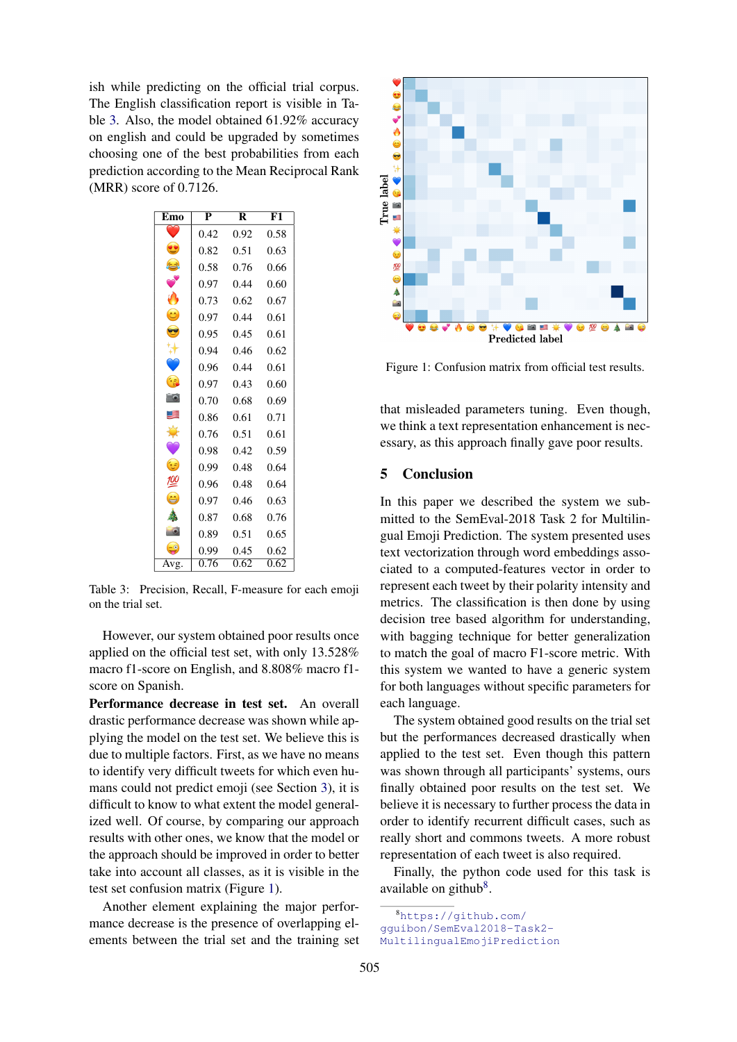ish while predicting on the official trial corpus. The English classification report is visible in Table 3. Also, the model obtained 61.92% accuracy on english and could be upgraded by sometimes choosing one of the best probabilities from each prediction according to the Mean Reciprocal Rank (MRR) score of 0.7126.

| Emo                  | $\overline{\mathbf{p}}$ | R    | $\overline{\mathrm{F1}}$ |
|----------------------|-------------------------|------|--------------------------|
|                      | 0.42                    | 0.92 | 0.58                     |
| $\bullet$            | 0.82                    | 0.51 | 0.63                     |
| S                    | 0.58                    | 0.76 | 0.66                     |
| V                    | 0.97                    | 0.44 | 0.60                     |
| Ò                    | 0.73                    | 0.62 | 0.67                     |
| $\bullet$            | 0.97                    | 0.44 | 0.61                     |
| $\bullet$            | 0.95                    | 0.45 | 0.61                     |
| ₩                    | 0.94                    | 0.46 | 0.62                     |
| Ũ                    | 0.96                    | 0.44 | 0.61                     |
| $\epsilon$           | 0.97                    | 0.43 | 0.60                     |
| $\overline{\bullet}$ | 0.70                    | 0.68 | 0.69                     |
| S                    | 0.86                    | 0.61 | 0.71                     |
| 豪                    | 0.76                    | 0.51 | 0.61                     |
| $\infty$             | 0.98                    | 0.42 | 0.59                     |
| $\bullet$            | 0.99                    | 0.48 | 0.64                     |
| ≝                    | 0.96                    | 0.48 | 0.64                     |
| ٥                    | 0.97                    | 0.46 | 0.63                     |
|                      | 0.87                    | 0.68 | 0.76                     |
|                      | 0.89                    | 0.51 | 0.65                     |
| $\Rightarrow$        | 0.99                    | 0.45 | 0.62                     |
| Avg.                 | 0.76                    | 0.62 | 0.62                     |

Table 3: Precision, Recall, F-measure for each emoji on the trial set.

However, our system obtained poor results once applied on the official test set, with only 13.528% macro f1-score on English, and 8.808% macro f1 score on Spanish.

Performance decrease in test set. An overall drastic performance decrease was shown while applying the model on the test set. We believe this is due to multiple factors. First, as we have no means to identify very difficult tweets for which even humans could not predict emoji (see Section 3), it is difficult to know to what extent the model generalized well. Of course, by comparing our approach results with other ones, we know that the model or the approach should be improved in order to better take into account all classes, as it is visible in the test set confusion matrix (Figure 1).

Another element explaining the major performance decrease is the presence of overlapping elements between the trial set and the training set



Figure 1: Confusion matrix from official test results.

that misleaded parameters tuning. Even though, we think a text representation enhancement is necessary, as this approach finally gave poor results.

# 5 Conclusion

In this paper we described the system we submitted to the SemEval-2018 Task 2 for Multilingual Emoji Prediction. The system presented uses text vectorization through word embeddings associated to a computed-features vector in order to represent each tweet by their polarity intensity and metrics. The classification is then done by using decision tree based algorithm for understanding, with bagging technique for better generalization to match the goal of macro F1-score metric. With this system we wanted to have a generic system for both languages without specific parameters for each language.

The system obtained good results on the trial set but the performances decreased drastically when applied to the test set. Even though this pattern was shown through all participants' systems, ours finally obtained poor results on the test set. We believe it is necessary to further process the data in order to identify recurrent difficult cases, such as really short and commons tweets. A more robust representation of each tweet is also required.

Finally, the python code used for this task is available on github $8$ .

<sup>8</sup>https://github.com/

gguibon/SemEval2018-Task2-

MultilingualEmojiPrediction